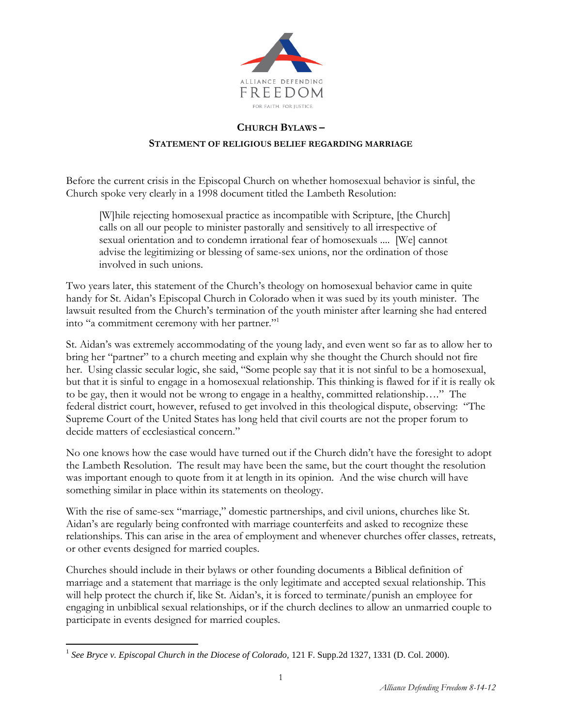

## **CHURCH BYLAWS –**

## **STATEMENT OF RELIGIOUS BELIEF REGARDING MARRIAGE**

Before the current crisis in the Episcopal Church on whether homosexual behavior is sinful, the Church spoke very clearly in a 1998 document titled the Lambeth Resolution:

[W]hile rejecting homosexual practice as incompatible with Scripture, [the Church] calls on all our people to minister pastorally and sensitively to all irrespective of sexual orientation and to condemn irrational fear of homosexuals .... [We] cannot advise the legitimizing or blessing of same-sex unions, nor the ordination of those involved in such unions.

Two years later, this statement of the Church's theology on homosexual behavior came in quite handy for St. Aidan's Episcopal Church in Colorado when it was sued by its youth minister. The lawsuit resulted from the Church's termination of the youth minister after learning she had entered into "a commitment ceremony with her partner."<sup>1</sup>

St. Aidan's was extremely accommodating of the young lady, and even went so far as to allow her to bring her "partner" to a church meeting and explain why she thought the Church should not fire her. Using classic secular logic, she said, "Some people say that it is not sinful to be a homosexual, but that it is sinful to engage in a homosexual relationship. This thinking is flawed for if it is really ok to be gay, then it would not be wrong to engage in a healthy, committed relationship…." The federal district court, however, refused to get involved in this theological dispute, observing: "The Supreme Court of the United States has long held that civil courts are not the proper forum to decide matters of ecclesiastical concern."

No one knows how the case would have turned out if the Church didn't have the foresight to adopt the Lambeth Resolution. The result may have been the same, but the court thought the resolution was important enough to quote from it at length in its opinion. And the wise church will have something similar in place within its statements on theology.

With the rise of same-sex "marriage," domestic partnerships, and civil unions, churches like St. Aidan's are regularly being confronted with marriage counterfeits and asked to recognize these relationships. This can arise in the area of employment and whenever churches offer classes, retreats, or other events designed for married couples.

Churches should include in their bylaws or other founding documents a Biblical definition of marriage and a statement that marriage is the only legitimate and accepted sexual relationship. This will help protect the church if, like St. Aidan's, it is forced to terminate/punish an employee for engaging in unbiblical sexual relationships, or if the church declines to allow an unmarried couple to participate in events designed for married couples.

<sup>&</sup>lt;sup>1</sup> See Bryce v. Episcopal Church in the Diocese of Colorado, 121 F. Supp.2d 1327, 1331 (D. Col. 2000).